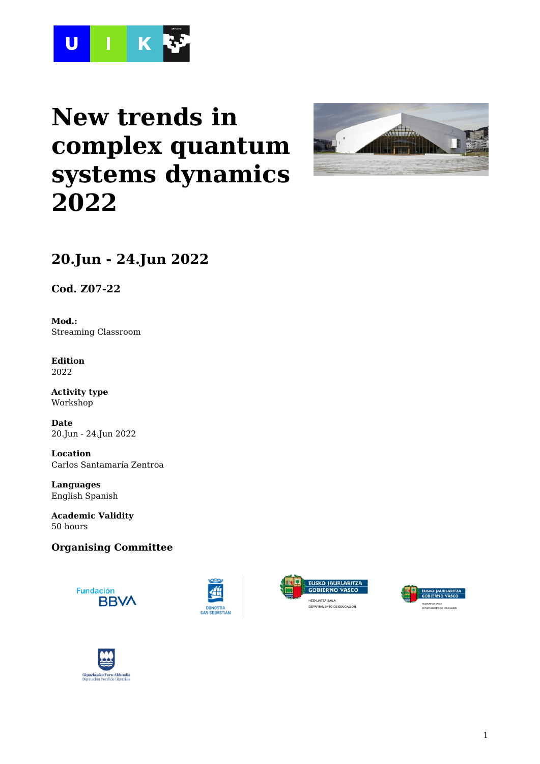

# **New trends in complex quantum systems dynamics 2022**



# **20.Jun - 24.Jun 2022**

**Cod. Z07-22**

**Mod.:** Streaming Classroom

**Edition** 2022

**Activity type** Workshop

**Date** 20.Jun - 24.Jun 2022

**Location** Carlos Santamaría Zentroa

**Languages** English Spanish

**Academic Validity** 50 hours

### **Organising Committee**









<mark>, EUSKO JAURLARITZA<br>: GOBIERNO VASCO</mark>

A SALA<br>ENTO DE EDUCACIÓN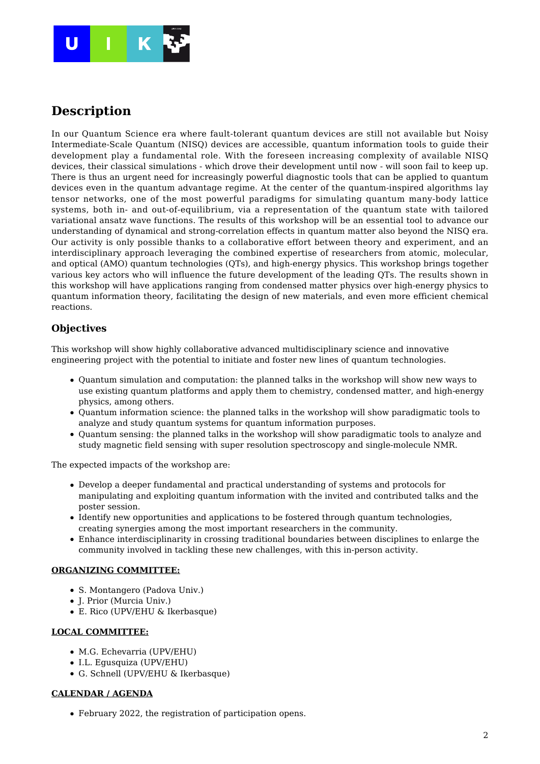

### **Description**

In our Quantum Science era where fault-tolerant quantum devices are still not available but Noisy Intermediate-Scale Quantum (NISQ) devices are accessible, quantum information tools to guide their development play a fundamental role. With the foreseen increasing complexity of available NISQ devices, their classical simulations - which drove their development until now - will soon fail to keep up. There is thus an urgent need for increasingly powerful diagnostic tools that can be applied to quantum devices even in the quantum advantage regime. At the center of the quantum-inspired algorithms lay tensor networks, one of the most powerful paradigms for simulating quantum many-body lattice systems, both in- and out-of-equilibrium, via a representation of the quantum state with tailored variational ansatz wave functions. The results of this workshop will be an essential tool to advance our understanding of dynamical and strong-correlation effects in quantum matter also beyond the NISQ era. Our activity is only possible thanks to a collaborative effort between theory and experiment, and an interdisciplinary approach leveraging the combined expertise of researchers from atomic, molecular, and optical (AMO) quantum technologies (QTs), and high-energy physics. This workshop brings together various key actors who will influence the future development of the leading QTs. The results shown in this workshop will have applications ranging from condensed matter physics over high-energy physics to quantum information theory, facilitating the design of new materials, and even more efficient chemical reactions.

### **Objectives**

This workshop will show highly collaborative advanced multidisciplinary science and innovative engineering project with the potential to initiate and foster new lines of quantum technologies.

- Quantum simulation and computation: the planned talks in the workshop will show new ways to use existing quantum platforms and apply them to chemistry, condensed matter, and high-energy physics, among others.
- Quantum information science: the planned talks in the workshop will show paradigmatic tools to analyze and study quantum systems for quantum information purposes.
- Quantum sensing: the planned talks in the workshop will show paradigmatic tools to analyze and study magnetic field sensing with super resolution spectroscopy and single-molecule NMR.

The expected impacts of the workshop are:

- Develop a deeper fundamental and practical understanding of systems and protocols for manipulating and exploiting quantum information with the invited and contributed talks and the poster session.
- Identify new opportunities and applications to be fostered through quantum technologies, creating synergies among the most important researchers in the community.
- Enhance interdisciplinarity in crossing traditional boundaries between disciplines to enlarge the community involved in tackling these new challenges, with this in-person activity.

### **ORGANIZING COMMITTEE:**

- S. Montangero (Padova Univ.)
- J. Prior (Murcia Univ.)
- E. Rico (UPV/EHU & Ikerbasque)

#### **LOCAL COMMITTEE:**

- M.G. Echevarria (UPV/EHU)
- I.L. Egusquiza (UPV/EHU)
- G. Schnell (UPV/EHU & Ikerbasque)

#### **CALENDAR / AGENDA**

February 2022, the registration of participation opens.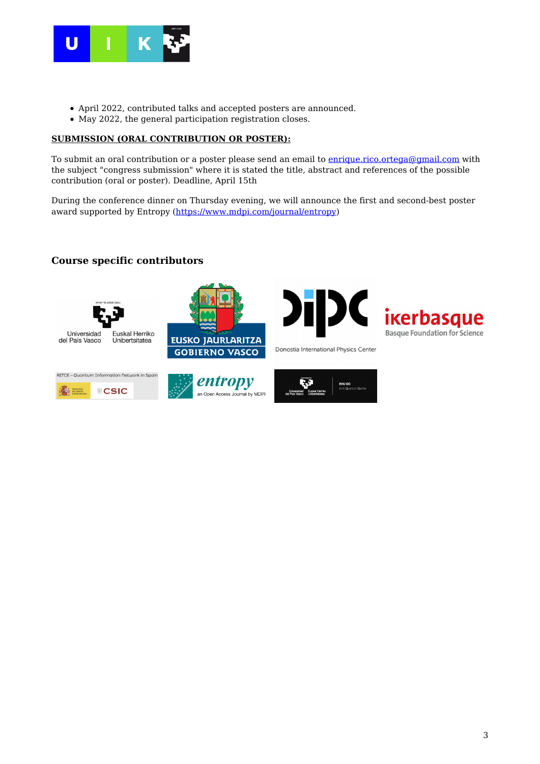

- April 2022, contributed talks and accepted posters are announced.
- May 2022, the general participation registration closes.

### **SUBMISSION (ORAL CONTRIBUTION OR POSTER):**

To submit an oral contribution or a poster please send an email to **enrique.rico.ortega@gmail.com** with the subject "congress submission" where it is stated the title, abstract and references of the possible contribution (oral or poster). Deadline, April 15th

During the conference dinner on Thursday evening, we will announce the first and second-best poster award supported by Entropy ([https://www.mdpi.com/journal/entropy\)](https://www.mdpi.com/journal/entropy)

### **Course specific contributors**





Donostia International Physics Center







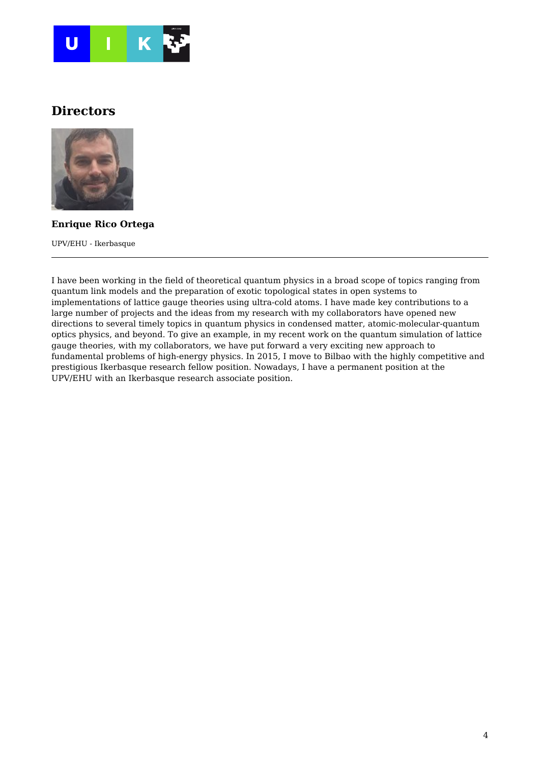

### **Directors**



**Enrique Rico Ortega**

UPV/EHU - Ikerbasque

I have been working in the field of theoretical quantum physics in a broad scope of topics ranging from quantum link models and the preparation of exotic topological states in open systems to implementations of lattice gauge theories using ultra-cold atoms. I have made key contributions to a large number of projects and the ideas from my research with my collaborators have opened new directions to several timely topics in quantum physics in condensed matter, atomic-molecular-quantum optics physics, and beyond. To give an example, in my recent work on the quantum simulation of lattice gauge theories, with my collaborators, we have put forward a very exciting new approach to fundamental problems of high-energy physics. In 2015, I move to Bilbao with the highly competitive and prestigious Ikerbasque research fellow position. Nowadays, I have a permanent position at the UPV/EHU with an Ikerbasque research associate position.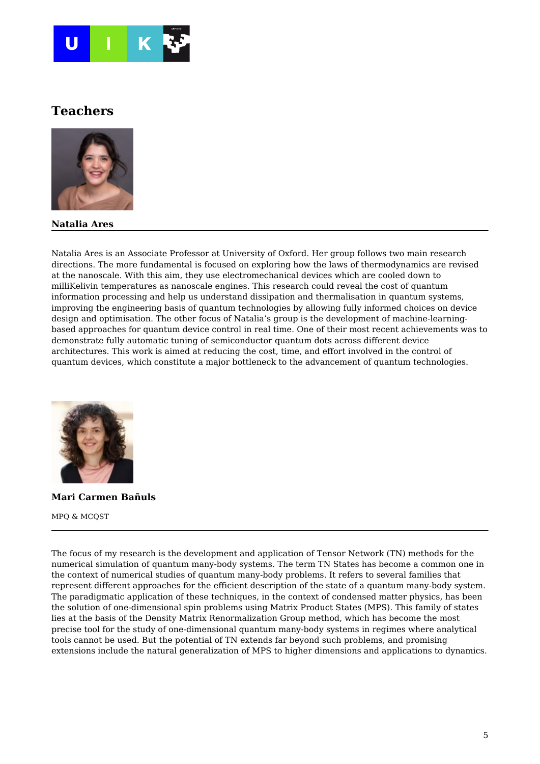

### **Teachers**



### **Natalia Ares**

Natalia Ares is an Associate Professor at University of Oxford. Her group follows two main research directions. The more fundamental is focused on exploring how the laws of thermodynamics are revised at the nanoscale. With this aim, they use electromechanical devices which are cooled down to milliKelivin temperatures as nanoscale engines. This research could reveal the cost of quantum information processing and help us understand dissipation and thermalisation in quantum systems, improving the engineering basis of quantum technologies by allowing fully informed choices on device design and optimisation. The other focus of Natalia's group is the development of machine-learningbased approaches for quantum device control in real time. One of their most recent achievements was to demonstrate fully automatic tuning of semiconductor quantum dots across different device architectures. This work is aimed at reducing the cost, time, and effort involved in the control of quantum devices, which constitute a major bottleneck to the advancement of quantum technologies.



**Mari Carmen Bañuls** MPQ & MCQST

The focus of my research is the development and application of Tensor Network (TN) methods for the numerical simulation of quantum many-body systems. The term TN States has become a common one in the context of numerical studies of quantum many-body problems. It refers to several families that represent different approaches for the efficient description of the state of a quantum many-body system. The paradigmatic application of these techniques, in the context of condensed matter physics, has been the solution of one-dimensional spin problems using Matrix Product States (MPS). This family of states lies at the basis of the Density Matrix Renormalization Group method, which has become the most precise tool for the study of one-dimensional quantum many-body systems in regimes where analytical tools cannot be used. But the potential of TN extends far beyond such problems, and promising extensions include the natural generalization of MPS to higher dimensions and applications to dynamics.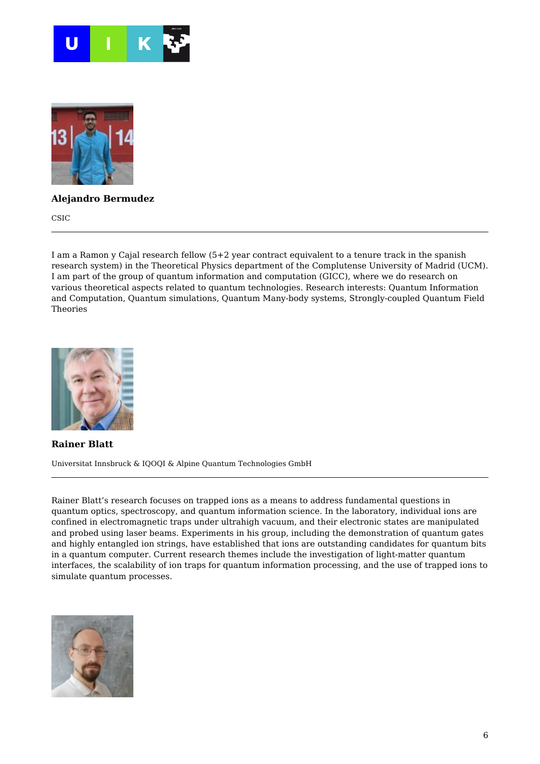



### **Alejandro Bermudez**

CSIC

I am a Ramon y Cajal research fellow (5+2 year contract equivalent to a tenure track in the spanish research system) in the Theoretical Physics department of the Complutense University of Madrid (UCM). I am part of the group of quantum information and computation (GICC), where we do research on various theoretical aspects related to quantum technologies. Research interests: Quantum Information and Computation, Quantum simulations, Quantum Many-body systems, Strongly-coupled Quantum Field Theories



**Rainer Blatt** Universitat Innsbruck & IQOQI & Alpine Quantum Technologies GmbH

Rainer Blatt's research focuses on trapped ions as a means to address fundamental questions in quantum optics, spectroscopy, and quantum information science. In the laboratory, individual ions are confined in electromagnetic traps under ultrahigh vacuum, and their electronic states are manipulated and probed using laser beams. Experiments in his group, including the demonstration of quantum gates and highly entangled ion strings, have established that ions are outstanding candidates for quantum bits in a quantum computer. Current research themes include the investigation of light-matter quantum interfaces, the scalability of ion traps for quantum information processing, and the use of trapped ions to simulate quantum processes.

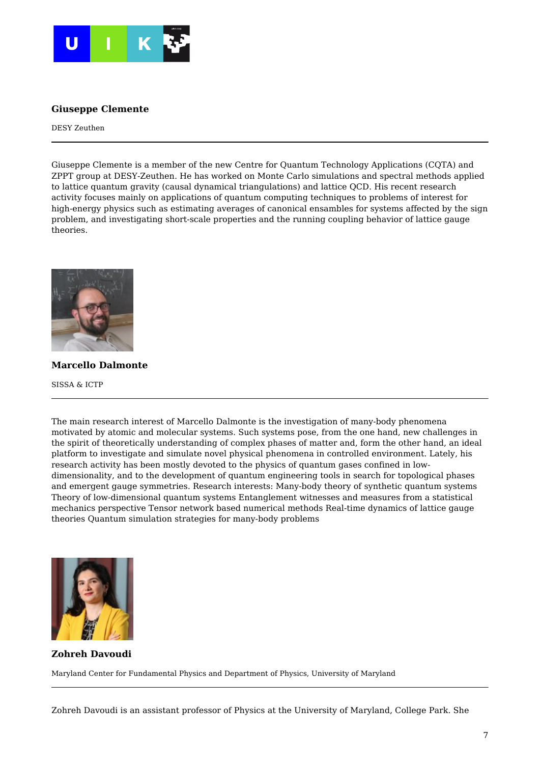

### **Giuseppe Clemente**

DESY Zeuthen

Giuseppe Clemente is a member of the new Centre for Quantum Technology Applications (CQTA) and ZPPT group at DESY-Zeuthen. He has worked on Monte Carlo simulations and spectral methods applied to lattice quantum gravity (causal dynamical triangulations) and lattice QCD. His recent research activity focuses mainly on applications of quantum computing techniques to problems of interest for high-energy physics such as estimating averages of canonical ensambles for systems affected by the sign problem, and investigating short-scale properties and the running coupling behavior of lattice gauge theories.



**Marcello Dalmonte**

SISSA & ICTP

The main research interest of Marcello Dalmonte is the investigation of many-body phenomena motivated by atomic and molecular systems. Such systems pose, from the one hand, new challenges in the spirit of theoretically understanding of complex phases of matter and, form the other hand, an ideal platform to investigate and simulate novel physical phenomena in controlled environment. Lately, his research activity has been mostly devoted to the physics of quantum gases confined in lowdimensionality, and to the development of quantum engineering tools in search for topological phases and emergent gauge symmetries. Research interests: Many-body theory of synthetic quantum systems Theory of low-dimensional quantum systems Entanglement witnesses and measures from a statistical mechanics perspective Tensor network based numerical methods Real-time dynamics of lattice gauge theories Quantum simulation strategies for many-body problems



**Zohreh Davoudi**

Maryland Center for Fundamental Physics and Department of Physics, University of Maryland

Zohreh Davoudi is an assistant professor of Physics at the University of Maryland, College Park. She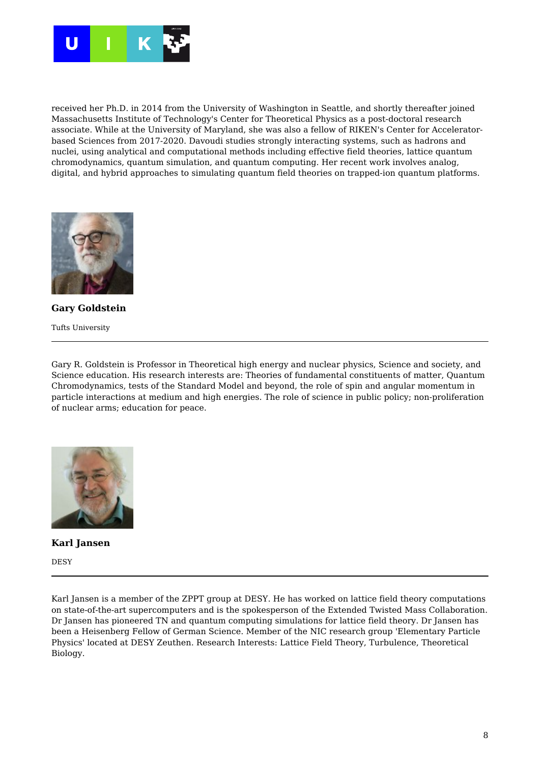

received her Ph.D. in 2014 from the University of Washington in Seattle, and shortly thereafter joined Massachusetts Institute of Technology's Center for Theoretical Physics as a post-doctoral research associate. While at the University of Maryland, she was also a fellow of RIKEN's Center for Acceleratorbased Sciences from 2017-2020. Davoudi studies strongly interacting systems, such as hadrons and nuclei, using analytical and computational methods including effective field theories, lattice quantum chromodynamics, quantum simulation, and quantum computing. Her recent work involves analog, digital, and hybrid approaches to simulating quantum field theories on trapped-ion quantum platforms.



**Gary Goldstein** Tufts University

Gary R. Goldstein is Professor in Theoretical high energy and nuclear physics, Science and society, and Science education. His research interests are: Theories of fundamental constituents of matter, Quantum Chromodynamics, tests of the Standard Model and beyond, the role of spin and angular momentum in particle interactions at medium and high energies. The role of science in public policy; non-proliferation of nuclear arms; education for peace.



**Karl Jansen**

DESY

Karl Jansen is a member of the ZPPT group at DESY. He has worked on lattice field theory computations on state-of-the-art supercomputers and is the spokesperson of the Extended Twisted Mass Collaboration. Dr Jansen has pioneered TN and quantum computing simulations for lattice field theory. Dr Jansen has been a Heisenberg Fellow of German Science. Member of the NIC research group 'Elementary Particle Physics' located at DESY Zeuthen. Research Interests: Lattice Field Theory, Turbulence, Theoretical Biology.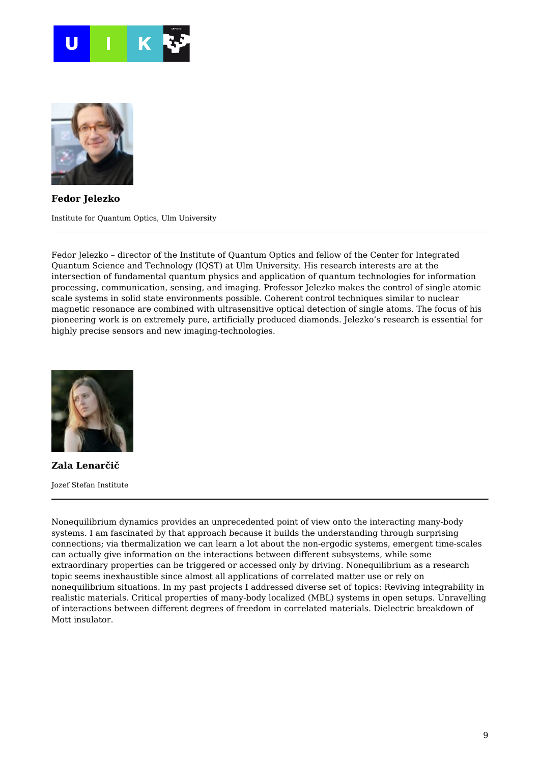



**Fedor Jelezko**

Institute for Quantum Optics, Ulm University

Fedor Jelezko – director of the Institute of Quantum Optics and fellow of the Center for Integrated Quantum Science and Technology (IQST) at Ulm University. His research interests are at the intersection of fundamental quantum physics and application of quantum technologies for information processing, communication, sensing, and imaging. Professor Jelezko makes the control of single atomic scale systems in solid state environments possible. Coherent control techniques similar to nuclear magnetic resonance are combined with ultrasensitive optical detection of single atoms. The focus of his pioneering work is on extremely pure, artificially produced diamonds. Jelezko's research is essential for highly precise sensors and new imaging-technologies.



**Zala Lenarčič** Jozef Stefan Institute

Nonequilibrium dynamics provides an unprecedented point of view onto the interacting many-body systems. I am fascinated by that approach because it builds the understanding through surprising connections; via thermalization we can learn a lot about the non-ergodic systems, emergent time-scales can actually give information on the interactions between different subsystems, while some extraordinary properties can be triggered or accessed only by driving. Nonequilibrium as a research topic seems inexhaustible since almost all applications of correlated matter use or rely on nonequilibrium situations. In my past projects I addressed diverse set of topics: Reviving integrability in realistic materials. Critical properties of many-body localized (MBL) systems in open setups. Unravelling of interactions between different degrees of freedom in correlated materials. Dielectric breakdown of Mott insulator.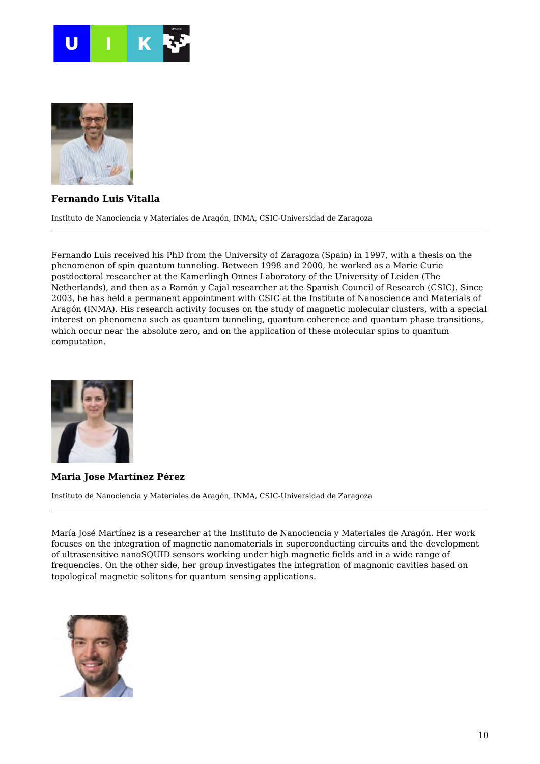



### **Fernando Luis Vitalla**

Instituto de Nanociencia y Materiales de Aragón, INMA, CSIC-Universidad de Zaragoza

Fernando Luis received his PhD from the University of Zaragoza (Spain) in 1997, with a thesis on the phenomenon of spin quantum tunneling. Between 1998 and 2000, he worked as a Marie Curie postdoctoral researcher at the Kamerlingh Onnes Laboratory of the University of Leiden (The Netherlands), and then as a Ramón y Cajal researcher at the Spanish Council of Research (CSIC). Since 2003, he has held a permanent appointment with CSIC at the Institute of Nanoscience and Materials of Aragón (INMA). His research activity focuses on the study of magnetic molecular clusters, with a special interest on phenomena such as quantum tunneling, quantum coherence and quantum phase transitions, which occur near the absolute zero, and on the application of these molecular spins to quantum computation.



#### **Maria Jose Martínez Pérez**

Instituto de Nanociencia y Materiales de Aragón, INMA, CSIC-Universidad de Zaragoza

María José Martínez is a researcher at the Instituto de Nanociencia y Materiales de Aragón. Her work focuses on the integration of magnetic nanomaterials in superconducting circuits and the development of ultrasensitive nanoSQUID sensors working under high magnetic fields and in a wide range of frequencies. On the other side, her group investigates the integration of magnonic cavities based on topological magnetic solitons for quantum sensing applications.

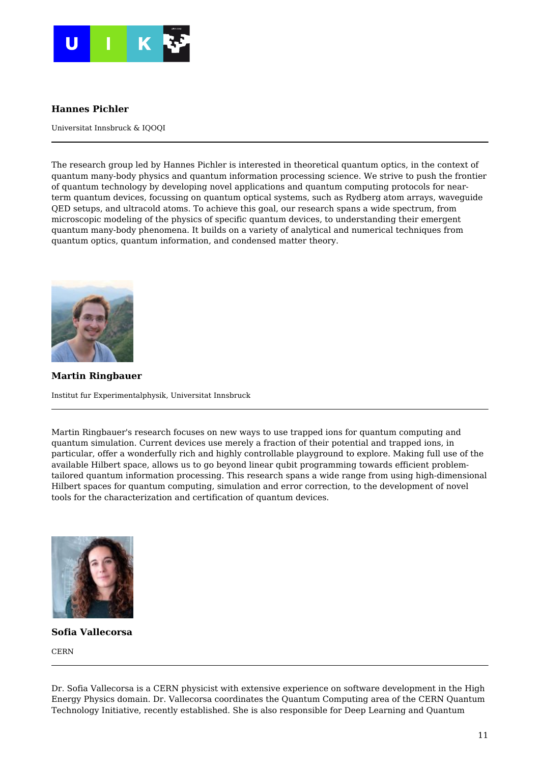

### **Hannes Pichler**

Universitat Innsbruck & IQOQI

The research group led by Hannes Pichler is interested in theoretical quantum optics, in the context of quantum many-body physics and quantum information processing science. We strive to push the frontier of quantum technology by developing novel applications and quantum computing protocols for nearterm quantum devices, focussing on quantum optical systems, such as Rydberg atom arrays, waveguide QED setups, and ultracold atoms. To achieve this goal, our research spans a wide spectrum, from microscopic modeling of the physics of specific quantum devices, to understanding their emergent quantum many-body phenomena. It builds on a variety of analytical and numerical techniques from quantum optics, quantum information, and condensed matter theory.



**Martin Ringbauer** Institut fur Experimentalphysik, Universitat Innsbruck

Martin Ringbauer's research focuses on new ways to use trapped ions for quantum computing and quantum simulation. Current devices use merely a fraction of their potential and trapped ions, in particular, offer a wonderfully rich and highly controllable playground to explore. Making full use of the available Hilbert space, allows us to go beyond linear qubit programming towards efficient problemtailored quantum information processing. This research spans a wide range from using high-dimensional Hilbert spaces for quantum computing, simulation and error correction, to the development of novel tools for the characterization and certification of quantum devices.



**Sofia Vallecorsa**

**CERN** 

Dr. Sofia Vallecorsa is a CERN physicist with extensive experience on software development in the High Energy Physics domain. Dr. Vallecorsa coordinates the Quantum Computing area of the CERN Quantum Technology Initiative, recently established. She is also responsible for Deep Learning and Quantum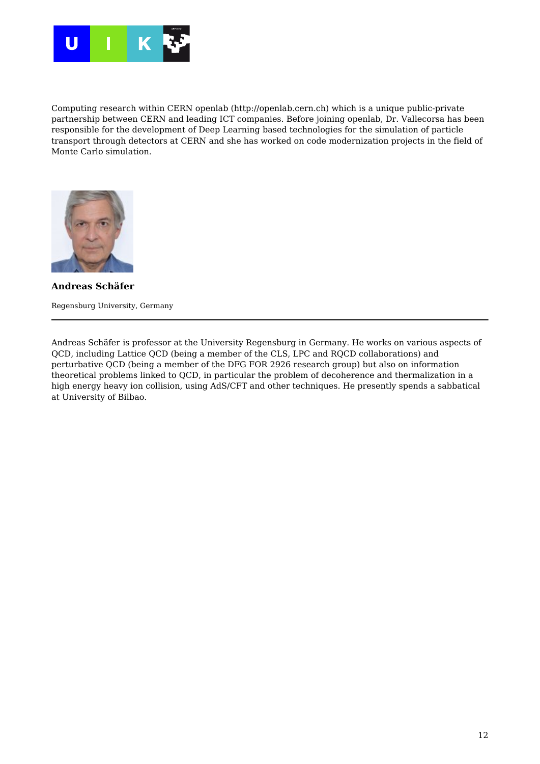

Computing research within CERN openlab (http://openlab.cern.ch) which is a unique public-private partnership between CERN and leading ICT companies. Before joining openlab, Dr. Vallecorsa has been responsible for the development of Deep Learning based technologies for the simulation of particle transport through detectors at CERN and she has worked on code modernization projects in the field of Monte Carlo simulation.



**Andreas Schäfer** Regensburg University, Germany

Andreas Schäfer is professor at the University Regensburg in Germany. He works on various aspects of QCD, including Lattice QCD (being a member of the CLS, LPC and RQCD collaborations) and perturbative QCD (being a member of the DFG FOR 2926 research group) but also on information theoretical problems linked to QCD, in particular the problem of decoherence and thermalization in a high energy heavy ion collision, using AdS/CFT and other techniques. He presently spends a sabbatical at University of Bilbao.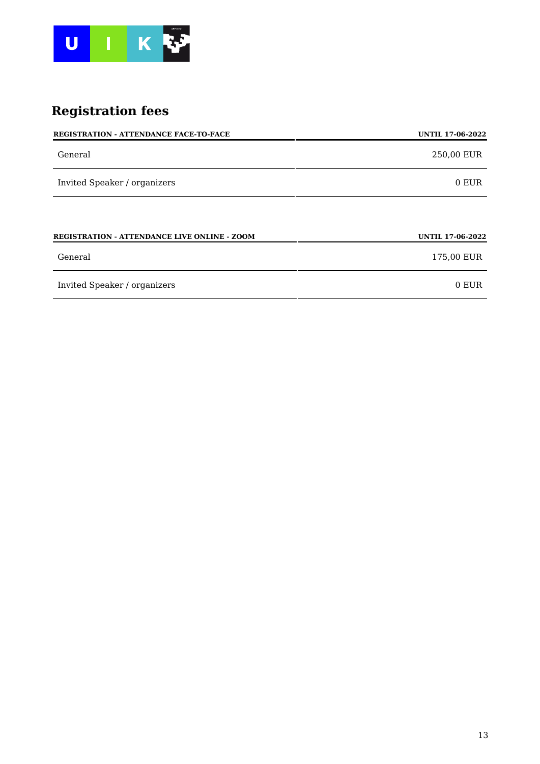

# **Registration fees**

| <b>REGISTRATION - ATTENDANCE FACE-TO-FACE</b>       | <b>UNTIL 17-06-2022</b> |
|-----------------------------------------------------|-------------------------|
| General                                             | 250,00 EUR              |
| Invited Speaker / organizers                        | 0 EUR                   |
|                                                     |                         |
| <b>REGISTRATION - ATTENDANCE LIVE ONLINE - ZOOM</b> | <b>UNTIL 17-06-2022</b> |
| General                                             | 175,00 EUR              |
| Invited Speaker / organizers                        | 0 EUR                   |